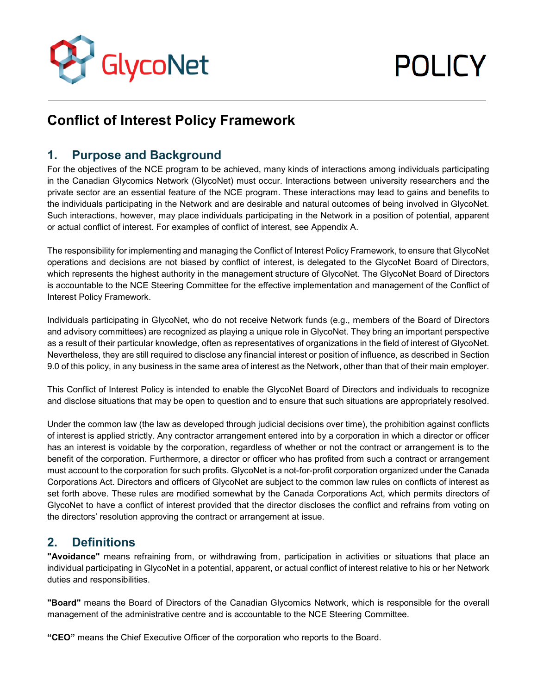

# **POLICY**

# **Conflict of Interest Policy Framework**

# **1. Purpose and Background**

For the objectives of the NCE program to be achieved, many kinds of interactions among individuals participating in the Canadian Glycomics Network (GlycoNet) must occur. Interactions between university researchers and the private sector are an essential feature of the NCE program. These interactions may lead to gains and benefits to the individuals participating in the Network and are desirable and natural outcomes of being involved in GlycoNet. Such interactions, however, may place individuals participating in the Network in a position of potential, apparent or actual conflict of interest. For examples of conflict of interest, see Appendix A.

The responsibility for implementing and managing the Conflict of Interest Policy Framework, to ensure that GlycoNet operations and decisions are not biased by conflict of interest, is delegated to the GlycoNet Board of Directors, which represents the highest authority in the management structure of GlycoNet. The GlycoNet Board of Directors is accountable to the NCE Steering Committee for the effective implementation and management of the Conflict of Interest Policy Framework.

Individuals participating in GlycoNet, who do not receive Network funds (e.g., members of the Board of Directors and advisory committees) are recognized as playing a unique role in GlycoNet. They bring an important perspective as a result of their particular knowledge, often as representatives of organizations in the field of interest of GlycoNet. Nevertheless, they are still required to disclose any financial interest or position of influence, as described in Section 9.0 of this policy, in any business in the same area of interest as the Network, other than that of their main employer.

This Conflict of Interest Policy is intended to enable the GlycoNet Board of Directors and individuals to recognize and disclose situations that may be open to question and to ensure that such situations are appropriately resolved.

Under the common law (the law as developed through judicial decisions over time), the prohibition against conflicts of interest is applied strictly. Any contractor arrangement entered into by a corporation in which a director or officer has an interest is voidable by the corporation, regardless of whether or not the contract or arrangement is to the benefit of the corporation. Furthermore, a director or officer who has profited from such a contract or arrangement must account to the corporation for such profits. GlycoNet is a not-for-profit corporation organized under the Canada Corporations Act. Directors and officers of GlycoNet are subject to the common law rules on conflicts of interest as set forth above. These rules are modified somewhat by the Canada Corporations Act, which permits directors of GlycoNet to have a conflict of interest provided that the director discloses the conflict and refrains from voting on the directors' resolution approving the contract or arrangement at issue.

# **2. Definitions**

**"Avoidance"** means refraining from, or withdrawing from, participation in activities or situations that place an individual participating in GlycoNet in a potential, apparent, or actual conflict of interest relative to his or her Network duties and responsibilities.

**"Board"** means the Board of Directors of the Canadian Glycomics Network, which is responsible for the overall management of the administrative centre and is accountable to the NCE Steering Committee.

**"CEO"** means the Chief Executive Officer of the corporation who reports to the Board.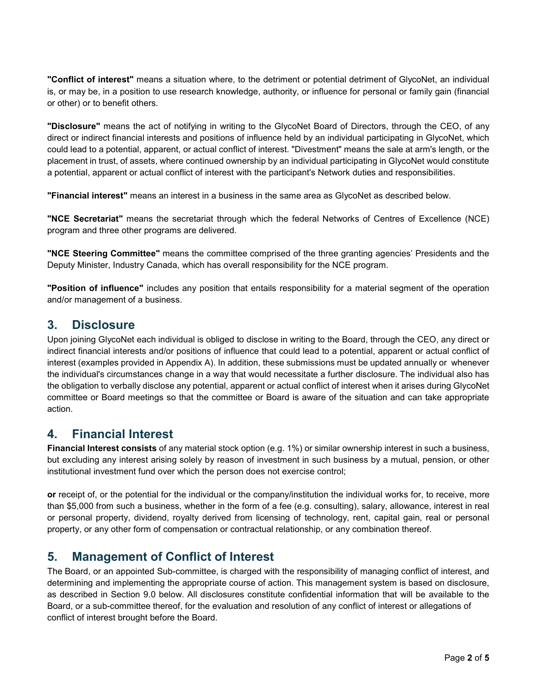**"Conflict of interest"** means a situation where, to the detriment or potential detriment of GlycoNet, an individual is, or may be, in a position to use research knowledge, authority, or influence for personal or family gain (financial or other) or to benefit others.

**"Disclosure"** means the act of notifying in writing to the GlycoNet Board of Directors, through the CEO, of any direct or indirect financial interests and positions of influence held by an individual participating in GlycoNet, which could lead to a potential, apparent, or actual conflict of interest. "Divestment" means the sale at arm's length, or the placement in trust, of assets, where continued ownership by an individual participating in GlycoNet would constitute a potential, apparent or actual conflict of interest with the participant's Network duties and responsibilities.

**"Financial interest"** means an interest in a business in the same area as GlycoNet as described below.

**"NCE Secretariat"** means the secretariat through which the federal Networks of Centres of Excellence (NCE) program and three other programs are delivered.

**"NCE Steering Committee"** means the committee comprised of the three granting agencies' Presidents and the Deputy Minister, Industry Canada, which has overall responsibility for the NCE program.

**"Position of influence"** includes any position that entails responsibility for a material segment of the operation and/or management of a business.

#### **3. Disclosure**

Upon joining GlycoNet each individual is obliged to disclose in writing to the Board, through the CEO, any direct or indirect financial interests and/or positions of influence that could lead to a potential, apparent or actual conflict of interest (examples provided in Appendix A). In addition, these submissions must be updated annually or whenever the individual's circumstances change in a way that would necessitate a further disclosure. The individual also has the obligation to verbally disclose any potential, apparent or actual conflict of interest when it arises during GlycoNet committee or Board meetings so that the committee or Board is aware of the situation and can take appropriate action.

# **4. Financial Interest**

**Financial Interest consists** of any material stock option (e.g. 1%) or similar ownership interest in such a business, but excluding any interest arising solely by reason of investment in such business by a mutual, pension, or other institutional investment fund over which the person does not exercise control;

**or** receipt of, or the potential for the individual or the company/institution the individual works for, to receive, more than \$5,000 from such a business, whether in the form of a fee (e.g. consulting), salary, allowance, interest in real or personal property, dividend, royalty derived from licensing of technology, rent, capital gain, real or personal property, or any other form of compensation or contractual relationship, or any combination thereof.

### **5. Management of Conflict of Interest**

The Board, or an appointed Sub-committee, is charged with the responsibility of managing conflict of interest, and determining and implementing the appropriate course of action. This management system is based on disclosure, as described in Section 9.0 below. All disclosures constitute confidential information that will be available to the Board, or a sub-committee thereof, for the evaluation and resolution of any conflict of interest or allegations of conflict of interest brought before the Board.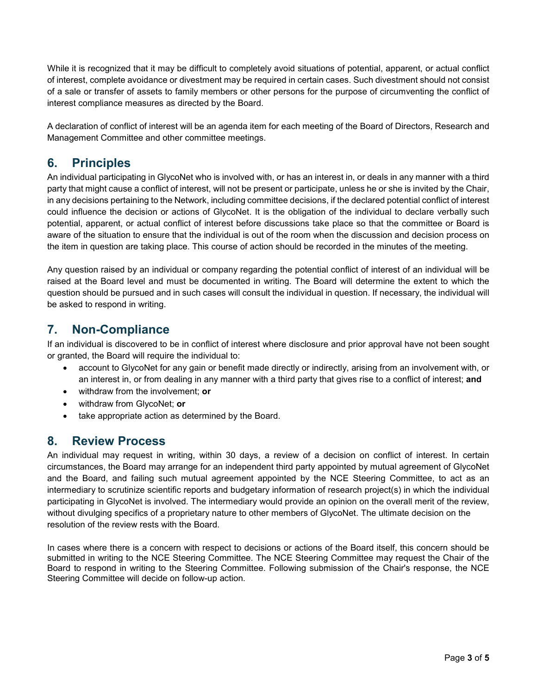While it is recognized that it may be difficult to completely avoid situations of potential, apparent, or actual conflict of interest, complete avoidance or divestment may be required in certain cases. Such divestment should not consist of a sale or transfer of assets to family members or other persons for the purpose of circumventing the conflict of interest compliance measures as directed by the Board.

A declaration of conflict of interest will be an agenda item for each meeting of the Board of Directors, Research and Management Committee and other committee meetings.

# **6. Principles**

An individual participating in GlycoNet who is involved with, or has an interest in, or deals in any manner with a third party that might cause a conflict of interest, will not be present or participate, unless he or she is invited by the Chair, in any decisions pertaining to the Network, including committee decisions, if the declared potential conflict of interest could influence the decision or actions of GlycoNet. It is the obligation of the individual to declare verbally such potential, apparent, or actual conflict of interest before discussions take place so that the committee or Board is aware of the situation to ensure that the individual is out of the room when the discussion and decision process on the item in question are taking place. This course of action should be recorded in the minutes of the meeting.

Any question raised by an individual or company regarding the potential conflict of interest of an individual will be raised at the Board level and must be documented in writing. The Board will determine the extent to which the question should be pursued and in such cases will consult the individual in question. If necessary, the individual will be asked to respond in writing.

# **7. Non-Compliance**

If an individual is discovered to be in conflict of interest where disclosure and prior approval have not been sought or granted, the Board will require the individual to:

- account to GlycoNet for any gain or benefit made directly or indirectly, arising from an involvement with, or an interest in, or from dealing in any manner with a third party that gives rise to a conflict of interest; **and**
- withdraw from the involvement; **or**
- withdraw from GlycoNet; **or**
- take appropriate action as determined by the Board.

# **8. Review Process**

An individual may request in writing, within 30 days, a review of a decision on conflict of interest. In certain circumstances, the Board may arrange for an independent third party appointed by mutual agreement of GlycoNet and the Board, and failing such mutual agreement appointed by the NCE Steering Committee, to act as an intermediary to scrutinize scientific reports and budgetary information of research project(s) in which the individual participating in GlycoNet is involved. The intermediary would provide an opinion on the overall merit of the review, without divulging specifics of a proprietary nature to other members of GlycoNet. The ultimate decision on the resolution of the review rests with the Board.

In cases where there is a concern with respect to decisions or actions of the Board itself, this concern should be submitted in writing to the NCE Steering Committee. The NCE Steering Committee may request the Chair of the Board to respond in writing to the Steering Committee. Following submission of the Chair's response, the NCE Steering Committee will decide on follow-up action.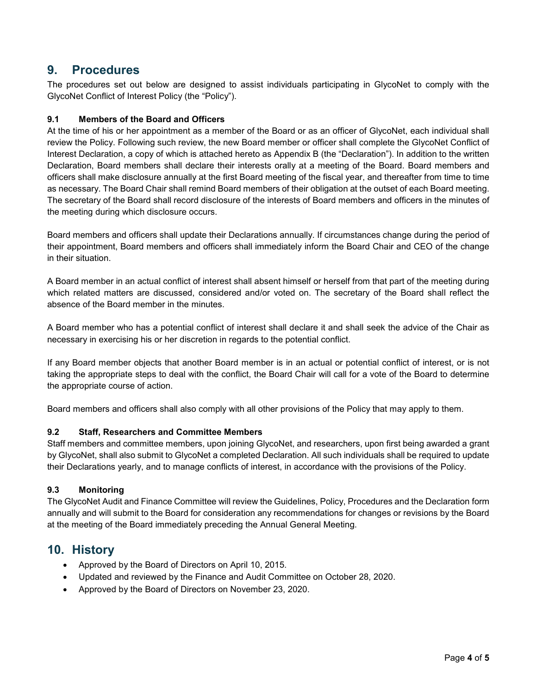## **9. Procedures**

The procedures set out below are designed to assist individuals participating in GlycoNet to comply with the GlycoNet Conflict of Interest Policy (the "Policy").

#### **9.1 Members of the Board and Officers**

At the time of his or her appointment as a member of the Board or as an officer of GlycoNet, each individual shall review the Policy. Following such review, the new Board member or officer shall complete the GlycoNet Conflict of Interest Declaration, a copy of which is attached hereto as Appendix B (the "Declaration"). In addition to the written Declaration, Board members shall declare their interests orally at a meeting of the Board. Board members and officers shall make disclosure annually at the first Board meeting of the fiscal year, and thereafter from time to time as necessary. The Board Chair shall remind Board members of their obligation at the outset of each Board meeting. The secretary of the Board shall record disclosure of the interests of Board members and officers in the minutes of the meeting during which disclosure occurs.

Board members and officers shall update their Declarations annually. If circumstances change during the period of their appointment, Board members and officers shall immediately inform the Board Chair and CEO of the change in their situation.

A Board member in an actual conflict of interest shall absent himself or herself from that part of the meeting during which related matters are discussed, considered and/or voted on. The secretary of the Board shall reflect the absence of the Board member in the minutes.

A Board member who has a potential conflict of interest shall declare it and shall seek the advice of the Chair as necessary in exercising his or her discretion in regards to the potential conflict.

If any Board member objects that another Board member is in an actual or potential conflict of interest, or is not taking the appropriate steps to deal with the conflict, the Board Chair will call for a vote of the Board to determine the appropriate course of action.

Board members and officers shall also comply with all other provisions of the Policy that may apply to them.

#### **9.2 Staff, Researchers and Committee Members**

Staff members and committee members, upon joining GlycoNet, and researchers, upon first being awarded a grant by GlycoNet, shall also submit to GlycoNet a completed Declaration. All such individuals shall be required to update their Declarations yearly, and to manage conflicts of interest, in accordance with the provisions of the Policy.

#### **9.3 Monitoring**

The GlycoNet Audit and Finance Committee will review the Guidelines, Policy, Procedures and the Declaration form annually and will submit to the Board for consideration any recommendations for changes or revisions by the Board at the meeting of the Board immediately preceding the Annual General Meeting.

# **10. History**

- Approved by the Board of Directors on April 10, 2015.
- Updated and reviewed by the Finance and Audit Committee on October 28, 2020.
- Approved by the Board of Directors on November 23, 2020.